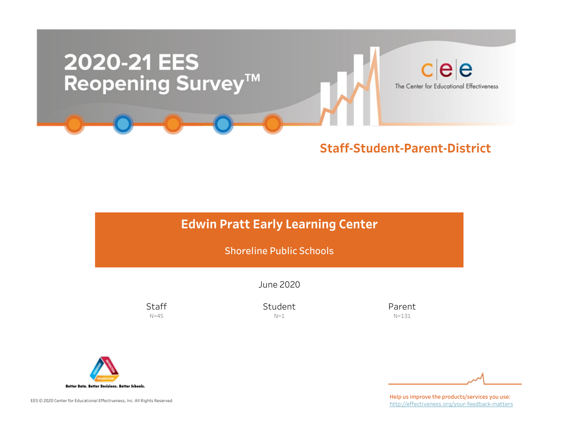

# **Edwin Pratt Early Learning Center**

Shoreline Public Schools

June2020

**Staff**  $N=45$ 

Student  $N=1$ 

Parent N=131



EES © 2020 Center for Educational Effectiveness, Inc. All Rights Reserved.

Help us improve the products/services you use: http://effectiveness.org/your-feedback-matters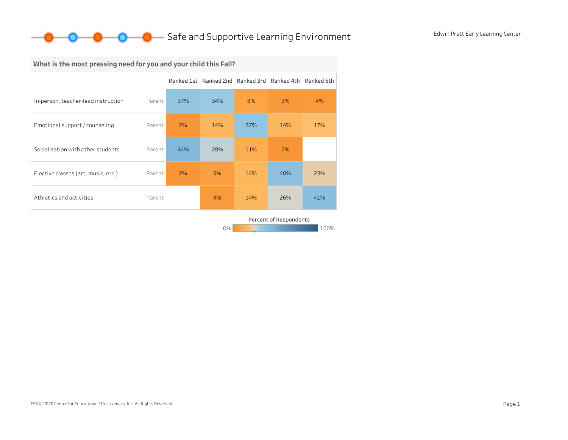

## What is the most pressing need for you and your child this Fall?

|                                     |        |     | Ranked 1st Ranked 2nd Ranked 3rd Ranked 4th Ranked 5th |     |     |     |
|-------------------------------------|--------|-----|--------------------------------------------------------|-----|-----|-----|
| In-person, teacher-lead instruction | Parent | 37% | 34%                                                    | 8%  | 3%  | 4%  |
| Emotional support / counseling      | Parent | 2%  | 14%                                                    | 37% | 14% | 17% |
| Socialization with other students   | Parent | 44% | 28%                                                    | 11% | 2%  |     |
| Elective classes (art, music, etc.) | Parent | 2%  | 5%                                                     | 14% | 40% | 23% |
| Athletics and activities            | Parent |     | 4%                                                     | 14% | 26% | 41% |
|                                     |        |     |                                                        |     |     |     |

0% 100% 100% 100% 100% Percent of Respondents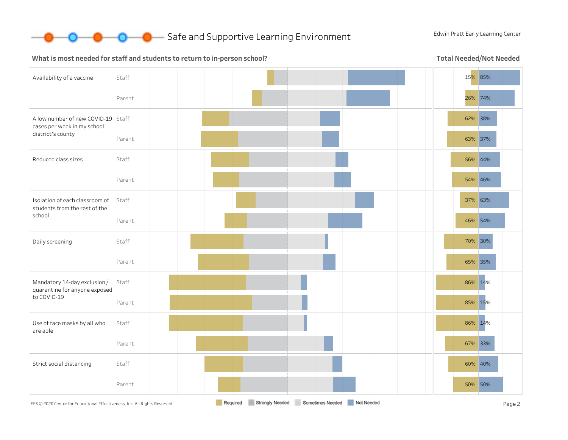

#### What is most needed for staff and students to return to in-person school?

Total Needed/Not Needed

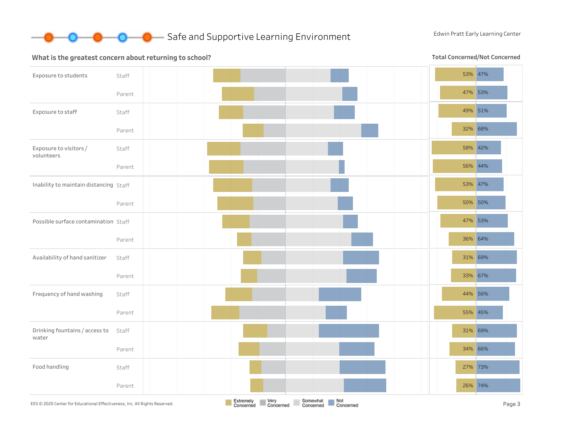

#### What is the greatest concern about returning to school?

Total Concerned/Not Concerned

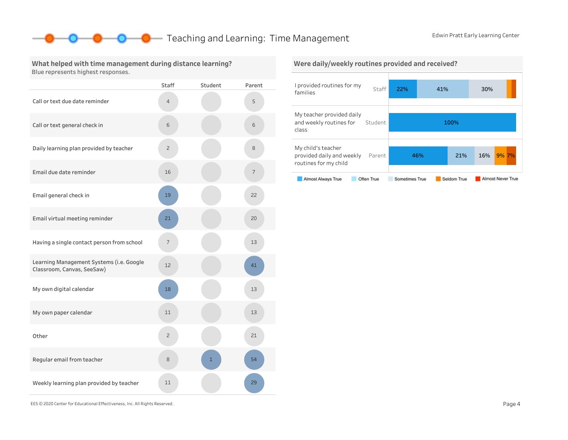## **O** Teaching and Learning: Time Management Edwin Pratt Early Learning Center

What helped with time management during distance learning? Blue represents highest responses.

|                                                                        | Staff          | Student | Parent |
|------------------------------------------------------------------------|----------------|---------|--------|
| Call or text due date reminder                                         | $\overline{4}$ |         | 5      |
| Call or text general check in                                          | 6              |         | 6      |
| Daily learning plan provided by teacher                                | 2              |         | 8      |
| Email due date reminder                                                | 16             |         | 7      |
| Email general check in                                                 | 19             |         | 22     |
| Email virtual meeting reminder                                         | 21             |         | 20     |
| Having a single contact person from school                             | 7              |         | 13     |
| Learning Management Systems (i.e. Google<br>Classroom, Canvas, SeeSaw) | 12             |         | 41     |
| My own digital calendar                                                | 18             |         | 13     |
| My own paper calendar                                                  | 11             |         | 13     |
| Other                                                                  | $\overline{c}$ |         | 21     |
| Regular email from teacher                                             | 8              | 1       | 54     |
| Weekly learning plan provided by teacher                               | 11             |         | 29     |



EES©2020CenterforEducationalEffectiveness,Inc.AllRightsReserved. Page4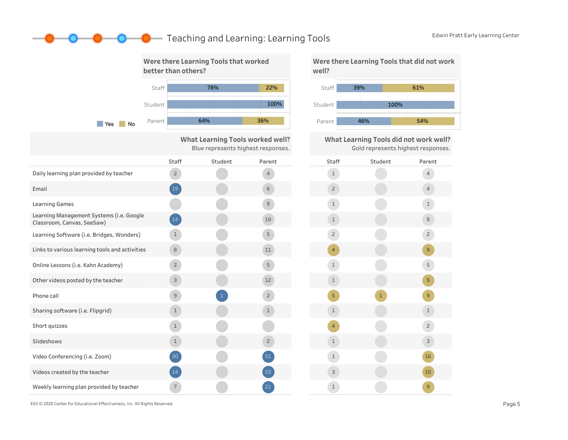## **O** Edwin Pratt Early Learning and Learning: Learning Tools Edwin Pratt Early Learning Center



100% 39% 61% 46% 54%

What Learning Tools did not work well? Gold represents highest responses.



EES © 2020 Center for Educational Effectiveness, Inc. All Rights Reserved. **Page 5** Page 5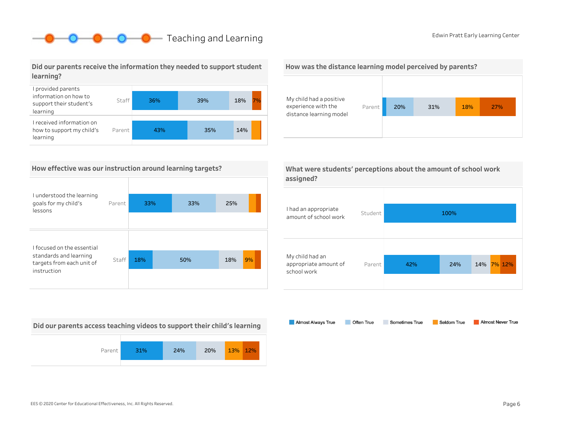# **O** Edwin Pratt Early Learning Center

### Did our parents receive the information they needed to support student learning?



#### How effective was our instruction around learning targets?

| I understood the learning<br>goals for my child's<br>lessons                      | Parent | 33% | 33% | 25% |    |
|-----------------------------------------------------------------------------------|--------|-----|-----|-----|----|
|                                                                                   |        |     |     |     |    |
|                                                                                   |        |     |     |     |    |
| I focused on the essential<br>standards and learning<br>targets from each unit of | Staff  | 18% | 50% | 18% | 9% |
| instruction                                                                       |        |     |     |     |    |

Did our parents access teaching videos to support their child's learning







|           | What were students' perceptions about the amount of school work |
|-----------|-----------------------------------------------------------------|
| assigned? |                                                                 |

| I had an appropriate<br>amount of school work           | Student |     | 100% |               |
|---------------------------------------------------------|---------|-----|------|---------------|
| My child had an<br>appropriate amount of<br>school work | Parent  | 42% | 24%  | 7% 12%<br>14% |

Almost Always True Sometimes True Almost Never True Often True Seldom True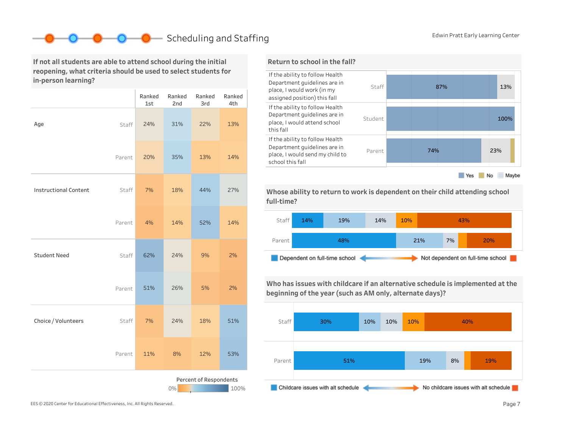## **Scheduling and Staffing** Edwin Pratt Early Learning Center

If not all students are able to attend school during the initial reopening, what criteria should be used to select students for in-person learning?

|                                      |        | Ranked<br>1st | Ranked<br>2nd | Ranked<br>3rd | Ranked<br>4th |  |
|--------------------------------------|--------|---------------|---------------|---------------|---------------|--|
| Age                                  | Staff  | 24%           | 31%           | 22%           | 13%           |  |
|                                      | Parent | 20%           | 35%           | 13%           | 14%           |  |
| <b>Instructional Content</b>         | Staff  | 7%            | 18%           | 44%           | 27%           |  |
|                                      | Parent | 4%            | 14%           | 52%           | 14%           |  |
| <b>Student Need</b>                  | Staff  | 62%           | 24%           | 9%            | 2%            |  |
|                                      | Parent | 51%           | 26%           | 5%            | 2%            |  |
| Choice / Volunteers                  | Staff  | 7%            | 24%           | 18%           | 51%           |  |
|                                      | Parent | 11%           | 8%            | 12%           | 53%           |  |
| Percent of Respondents<br>0%<br>100% |        |               |               |               |               |  |

### Return to school in the fall?



Whose ability to return to work is dependent on their child attending school full-time?



Who has issues with childcare if an alternative schedule is implemented at the beginning of the year (such as AM only, alternate days)?



EES © 2020 Center for Educational Effectiveness, Inc. All Rights Reserved. **Page 7** Page 7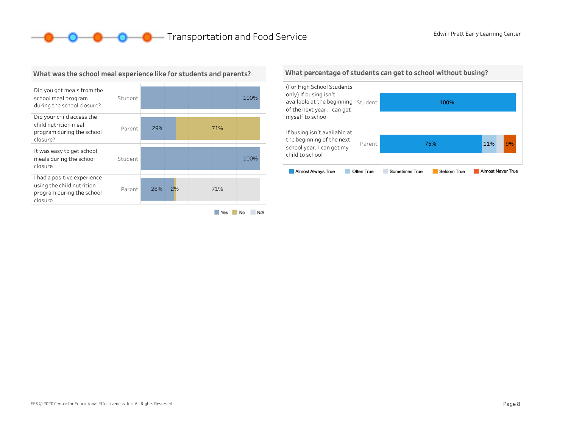**O** C **C** Transportation and Food Service Edwin Pratt Early Learning Center



#### What was the school meal experience like for students and parents?

#### What percentage of students can get to school without busing?

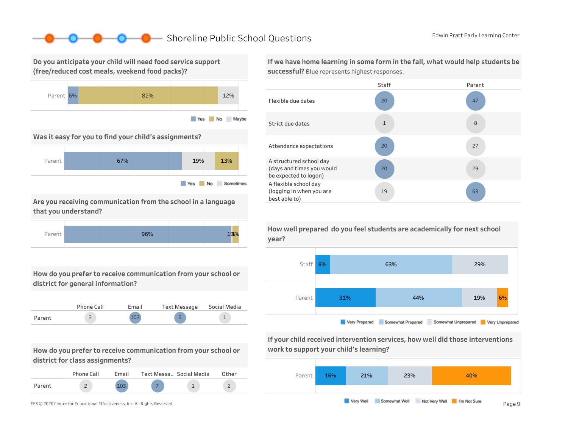## ■ Shoreline Public School Questions Enter Accord Edwin Pratt Early Learning Center

Do you anticipate your child will need food service support (free/reduced cost meals, weekend food packs)?



#### Was it easy for you to find your child's assignments?



Are you receiving communication from the school in a language that you understand?



How do you prefer to receive communication from your school or district for general information?



How do you prefer to receive communication from your school or district for class assignments?

|        | Phone Call | Fmail | Text Messa., Social Media | Other |
|--------|------------|-------|---------------------------|-------|
| Parent |            | 102   |                           |       |



If we have home learning in some form in the fall, what would help students be successful? Blue represents highest responses.





If your child received intervention services, how well did those interventions work to support your child's learning?



How well prepared do you feel students are academically for next school year?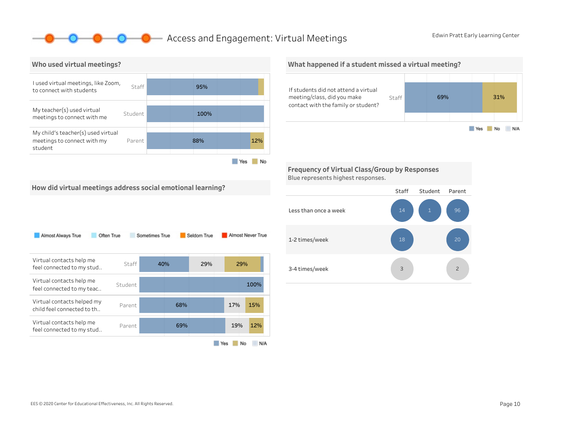## - Access and Engagement: Virtual Meetings Enter Edwin Pratt Early Learning Center



0-0-

What happened if a student missed a virtual meeting? If students did not attend a virtual meeting/class, did you make Staff 69% 31% contact with the family or student? Yes No N/A

Frequency of Virtual Class/Group by Responses Blue represents highest responses.

How did virtual meetings address social emotional learning?

| Almost Always True<br>Often True                         |         | Sometimes True |     | Seldom True |     | Almost Never True |
|----------------------------------------------------------|---------|----------------|-----|-------------|-----|-------------------|
| Virtual contacts help me<br>feel connected to my stud    | Staff   | 40%            |     | 29%         |     | 29%               |
| Virtual contacts help me<br>feel connected to my teac    | Student |                |     |             |     | 100%              |
| Virtual contacts helped my<br>child feel connected to th | Parent  |                | 68% |             | 17% | 15%               |
| Virtual contacts help me<br>feel connected to my stud    | Parent  |                | 69% |             | 19% | 12%               |
|                                                          |         |                |     |             | Yes | No<br>N/A         |

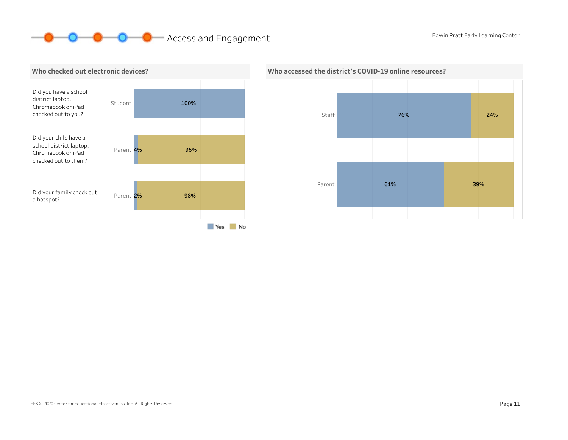# **O O** Access and Engagement Edwin Pratt Early Learning Center





#### Who accessed the district's COVID-19 online resources?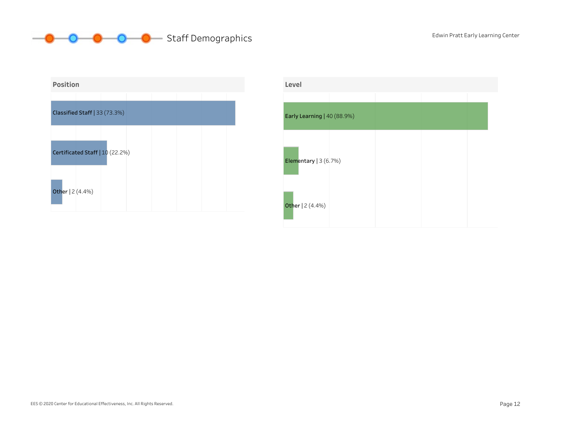



| Level                       |  |  |
|-----------------------------|--|--|
|                             |  |  |
| Early Learning   40 (88.9%) |  |  |
|                             |  |  |
| Elementary $ 3(6.7%)$       |  |  |
| Other   2 (4.4%)            |  |  |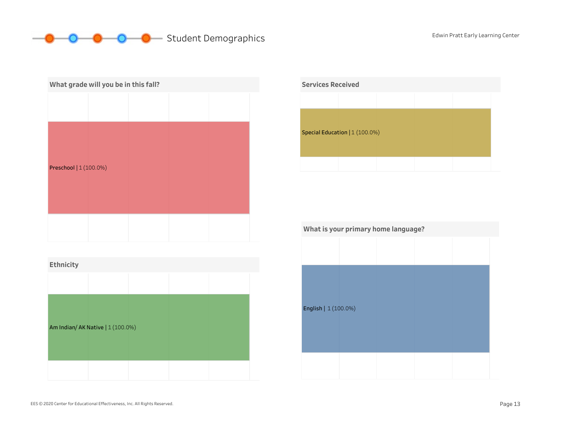# **O** C Student Demographics Edwin Pratt Early Learning Center

| What grade will you be in this fall? |  |  |  |  |  |  |
|--------------------------------------|--|--|--|--|--|--|
|                                      |  |  |  |  |  |  |
| Preschool   1 (100.0%)               |  |  |  |  |  |  |
|                                      |  |  |  |  |  |  |





| What is your primary home language? |  |  |  |  |  |  |
|-------------------------------------|--|--|--|--|--|--|
|                                     |  |  |  |  |  |  |
|                                     |  |  |  |  |  |  |
|                                     |  |  |  |  |  |  |
|                                     |  |  |  |  |  |  |
| English   1 (100.0%)                |  |  |  |  |  |  |
|                                     |  |  |  |  |  |  |
|                                     |  |  |  |  |  |  |
|                                     |  |  |  |  |  |  |